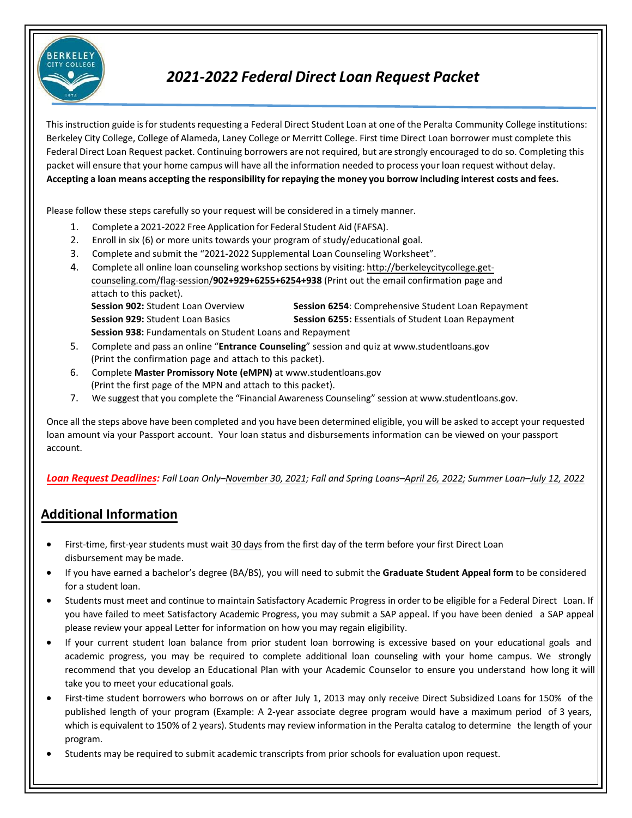

# *2021-2022 Federal Direct Loan Request Packet*

This instruction guide is for students requesting a Federal Direct Student Loan at one of the Peralta Community College institutions: Berkeley City College, College of Alameda, Laney College or Merritt College. First time Direct Loan borrower must complete this Federal Direct Loan Request packet. Continuing borrowers are not required, but are strongly encouraged to do so. Completing this packet will ensure that your home campus will have all the information needed to process your loan request without delay. Accepting a loan means accepting the responsibility for repaying the money you borrow including interest costs and fees.

Please follow these steps carefully so your request will be considered in a timely manner.

- 1. Complete a 2021-2022 Free Application for Federal Student Aid (FAFSA).
- 2. Enroll in six (6) or more units towards your program of study/educational goal.
- 3. Complete and submit the "2021-2022 Supplemental Loan Counseling Worksheet".
- 4. Complete all online loan counseling workshop sections by visiting: [http://berkeleycitycollege.get](http://berkeleycitycollege.get-/)counseling.com/flag-session/**902+929+6255+6254+938** (Print out the email confirmation page and attach to this packet).

**Session 938:** Fundamentals on Student Loa[ns and Repayment](http://www.studentloans.gov/)

**Session 902:** Student Loan Overview **Session 6254**: Comprehensive [Student Loan Rep](http://www.studentloans.gov/)ayment **Session 929:** Student Loan Basics **Session 6255:** Essentials of Student Loan Repayment

- 5. Complete and pass an online "**Entrance Counseling**" session and quiz at ww[w.studentloans.gov](http://www.studentloans.gov/) (Print the confirmation page and attach to this packet).
- 6. Complete **Master Promissory Note (eMPN)** at www.studentloans.gov (Print the first page of the MPN and attach to this packet).
- 7. We suggest that you complete the "Financial Awareness Counseling" session at www.studentloans.gov.

Once all the steps above have been completed and you have been determined eligible, you will be asked to accept your requested loan amount via your Passport account. Your loan status and disbursements [information](http://web.peralta.edu/portal/) can be viewed on your passport account.

*Loan Request Deadlines: Fall Loan Only–November 30, 2021; Fall and Spring Loans–April 26, 2022; Summer Loan–July 12, 2022*

## **Additional Information**

- First-time, first-year students must wait 30 days from the first day of the term before your first Direct Loan disbursement may be made.
- If you have earned a bachelor's degree (BA/BS), you will need to submit the **Graduate Student Appeal form** to be considered for a student loan.
- Students must meet and continue to maintain Satisfactory Academic Progress in order to be eligible for a Federal Direct Loan. If you have failed to meet Satisfactory Academic Progress, you may submit a SAP appeal. If you have been denied a SAP appeal please review your appeal Letter for information on how you may regain eligibility.
- If your current student loan balance from prior student loan borrowing is excessive based on your educational goals and academic progress, you may be required to complete additional loan counseling with your home campus. We strongly recommend that you develop an Educational Plan with your Academic Counselor to ensure you understand how long it will take you to meet your educational goals.
- First-time student borrowers who borrows on or after July 1, 2013 may only receive Direct Subsidized Loans for 150% of the published length of your program (Example: A 2-year associate degree program would have a maximum period of 3 years, which is equivalent to 150% of 2 years). Students may review information in the Peralta catalog to determine the length of your program.
- Students may be required to submit academic transcripts from prior schools for evaluation upon request.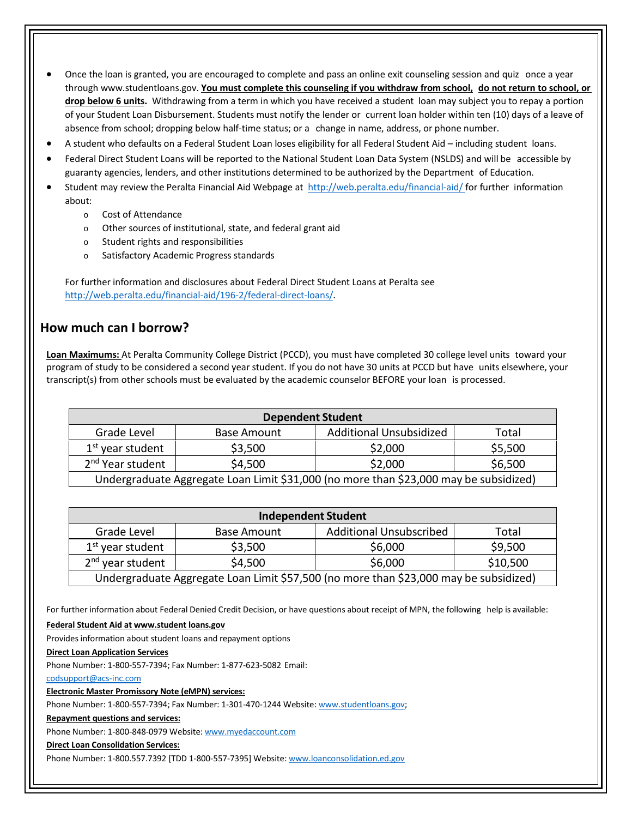- Once the loan is granted, you are encouraged to complete and pass an online exit counseling session and quiz once a year throug[h www.studentloans.gov.](http://www.studentloans.gov/) **You must complete this counseling if you withdraw from school, do not return to school, or drop below 6 units.** Withdrawing from a term in which you have received a student loan may subject you to repay a portion of your Student Loan Disbursement. Students must notify the lender or current loan holder within ten (10) days of a leave of absence from school; dropping below half-time status; or a change in name, address, or phone number.
- A student who defaults on a Federal Student Loan loses eligibility for all Federal Student Aid including student loans.
- Federal Direct Student Loans will be reported to the National Student Loan Data System (NSLDS) and will be accessible by guaranty agencies, lenders, and other institutions determined to be authorized by the Department of Education.
- Student may review the Peralta Financial Aid Webpage at <http://web.peralta.edu/financial-aid/> for further information about:
	- o Cost of Attendance
	- o Other sources of institutional, state, and federal grant aid
	- o Student rights and responsibilities
	- o Satisfactory Academic Progress standards

For further information and disclosures about Federal Direct Student Loans at Peralta see [http://web.peralta.edu/financial-aid/196-2/federal-direct-loans/.](http://web.peralta.edu/financial-aid/196-2/federal-direct-loans/)

## **How much can I borrow?**

**Loan Maximums:** At Peralta Community College District (PCCD), you must have completed 30 college level units toward your program of study to be considered a second year student. If you do not have 30 units at PCCD but have units elsewhere, your transcript(s) from other schools must be evaluated by the academic counselor BEFORE your loan is processed.

| <b>Dependent Student</b>                                                              |                    |                                |         |  |
|---------------------------------------------------------------------------------------|--------------------|--------------------------------|---------|--|
| Grade Level                                                                           | <b>Base Amount</b> | <b>Additional Unsubsidized</b> | Total   |  |
| $1st$ year student                                                                    | \$3,500            | \$2,000                        | \$5,500 |  |
| 2 <sup>nd</sup> Year student                                                          | \$4,500            | \$2,000                        | \$6,500 |  |
| Undergraduate Aggregate Loan Limit \$31,000 (no more than \$23,000 may be subsidized) |                    |                                |         |  |

| <b>Independent Student</b>                                                            |                    |                                |          |  |
|---------------------------------------------------------------------------------------|--------------------|--------------------------------|----------|--|
| Grade Level                                                                           | <b>Base Amount</b> | <b>Additional Unsubscribed</b> | Total    |  |
| $1st$ year student                                                                    | \$3,500            | \$6,000                        | \$9,500  |  |
| 2 <sup>nd</sup> year student                                                          | \$4,500            | \$6,000                        | \$10,500 |  |
| Undergraduate Aggregate Loan Limit \$57,500 (no more than \$23,000 may be subsidized) |                    |                                |          |  |

For further information about Federal Denied Credit Decision, or have questions about receipt of MPN, the following help is available:

#### **Federal Student Aid at www.student loans.gov**

Provides information about student loans and repayment options

#### **Direct Loan Application Services**

Phone Number: 1-800-557-7394; Fax Number: 1-877-623-5082 Email:

[codsupport@acs-inc.com](mailto:codsupport@acs-inc.com)

**Electronic Master Promissory Note (eMPN) services:**

Phone Number: 1-800-557-7394; Fax Number: 1-301-470-1244 Website[: www.studentloans.gov;](http://www.studentloans.gov/)

**Repayment questions and services:**

Phone Number: 1-800-848-0979 Website[: www.myedaccount.com](http://www.myedaccount.com/)

### **Direct Loan Consolidation Services:**

Phone Number: 1-800.557.7392 [TDD 1-800-557-7395] Website[: www.loanconsolidation.ed.gov](http://www.loanconsolidation.ed.gov/)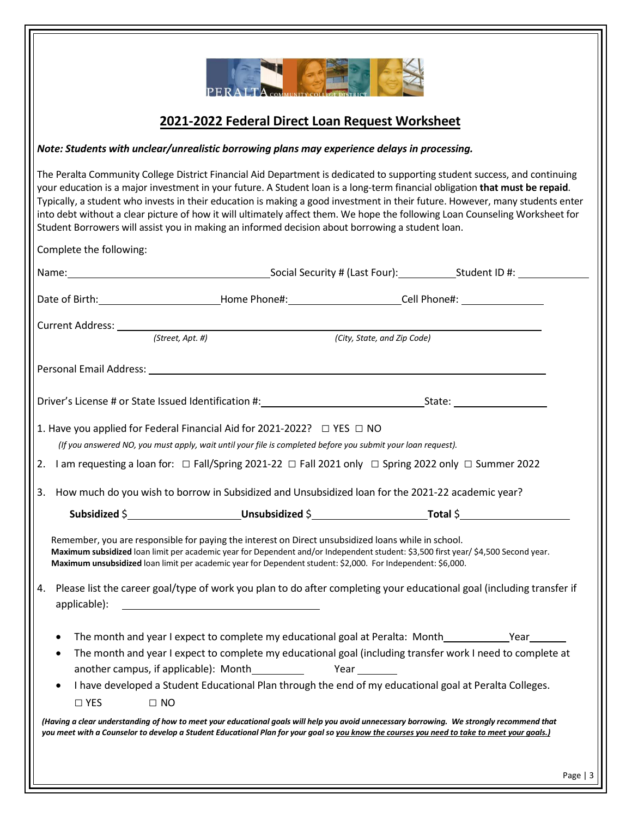

## **2021-2022 Federal Direct Loan Request Worksheet**

### *Note: Students with unclear/unrealistic borrowing plans may experience delays in processing.*

The Peralta Community College District Financial Aid Department is dedicated to supporting student success, and continuing your education is a major investment in your future. A Student loan is a long-term financial obligation **that must be repaid**. Typically, a student who invests in their education is making a good investment in their future. However, many students enter into debt without a clear picture of how it will ultimately affect them. We hope the following Loan Counseling Worksheet for Student Borrowers will assist you in making an informed decision about borrowing a student loan.

|           |                                                                                                                                                                                                                                                                                                                                                          |                             | Name: Social Security # (Last Four): Student ID #: Social Security # (Last Four): Student ID #:                       |
|-----------|----------------------------------------------------------------------------------------------------------------------------------------------------------------------------------------------------------------------------------------------------------------------------------------------------------------------------------------------------------|-----------------------------|-----------------------------------------------------------------------------------------------------------------------|
|           |                                                                                                                                                                                                                                                                                                                                                          |                             |                                                                                                                       |
|           |                                                                                                                                                                                                                                                                                                                                                          |                             |                                                                                                                       |
|           | $(Street, Apt.$ #)                                                                                                                                                                                                                                                                                                                                       | (City, State, and Zip Code) |                                                                                                                       |
|           |                                                                                                                                                                                                                                                                                                                                                          |                             |                                                                                                                       |
|           |                                                                                                                                                                                                                                                                                                                                                          |                             |                                                                                                                       |
|           | 1. Have you applied for Federal Financial Aid for 2021-2022? □ YES □ NO                                                                                                                                                                                                                                                                                  |                             |                                                                                                                       |
|           | (If you answered NO, you must apply, wait until your file is completed before you submit your loan request).                                                                                                                                                                                                                                             |                             |                                                                                                                       |
|           | 2. I am requesting a loan for: $\Box$ Fall/Spring 2021-22 $\Box$ Fall 2021 only $\Box$ Spring 2022 only $\Box$ Summer 2022                                                                                                                                                                                                                               |                             |                                                                                                                       |
| 3.        | How much do you wish to borrow in Subsidized and Unsubsidized loan for the 2021-22 academic year?                                                                                                                                                                                                                                                        |                             |                                                                                                                       |
|           |                                                                                                                                                                                                                                                                                                                                                          |                             |                                                                                                                       |
|           | Remember, you are responsible for paying the interest on Direct unsubsidized loans while in school.<br>Maximum subsidized loan limit per academic year for Dependent and/or Independent student: \$3,500 first year/ \$4,500 Second year.<br>Maximum unsubsidized loan limit per academic year for Dependent student: \$2,000. For Independent: \$6,000. |                             |                                                                                                                       |
| 4.        | applicable): Note and the set of the set of the set of the set of the set of the set of the set of the set of the set of the set of the set of the set of the set of the set of the set of the set of the set of the set of th                                                                                                                           |                             | Please list the career goal/type of work you plan to do after completing your educational goal (including transfer if |
| $\bullet$ | The month and year I expect to complete my educational goal at Peralta: Month______________Year________                                                                                                                                                                                                                                                  |                             |                                                                                                                       |
| $\bullet$ | The month and year I expect to complete my educational goal (including transfer work I need to complete at                                                                                                                                                                                                                                               |                             |                                                                                                                       |
|           | another campus, if applicable): Month Year Year                                                                                                                                                                                                                                                                                                          |                             |                                                                                                                       |
|           |                                                                                                                                                                                                                                                                                                                                                          |                             |                                                                                                                       |
| $\bullet$ | I have developed a Student Educational Plan through the end of my educational goal at Peralta Colleges.                                                                                                                                                                                                                                                  |                             |                                                                                                                       |